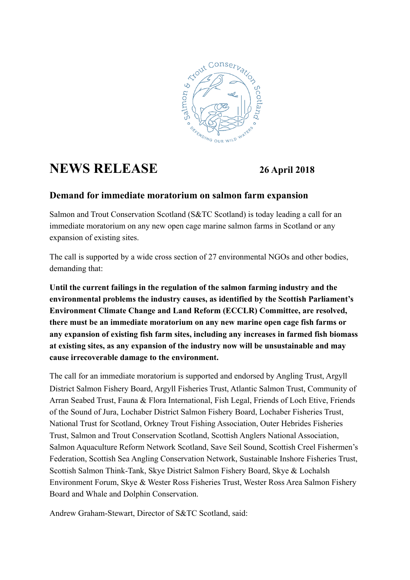

## **NEWS RELEASE 26 April 2018**

## **Demand for immediate moratorium on salmon farm expansion**

Salmon and Trout Conservation Scotland (S&TC Scotland) is today leading a call for an immediate moratorium on any new open cage marine salmon farms in Scotland or any expansion of existing sites.

The call is supported by a wide cross section of 27 environmental NGOs and other bodies, demanding that:

**Until the current failings in the regulation of the salmon farming industry and the environmental problems the industry causes, as identified by the Scottish Parliament's Environment Climate Change and Land Reform (ECCLR) Committee, are resolved, there must be an immediate moratorium on any new marine open cage fish farms or any expansion of existing fish farm sites, including any increases in farmed fish biomass at existing sites, as any expansion of the industry now will be unsustainable and may cause irrecoverable damage to the environment.**

The call for an immediate moratorium is supported and endorsed by Angling Trust, Argyll District Salmon Fishery Board, Argyll Fisheries Trust, Atlantic Salmon Trust, Community of Arran Seabed Trust, Fauna & Flora International, Fish Legal, Friends of Loch Etive, Friends of the Sound of Jura, Lochaber District Salmon Fishery Board, Lochaber Fisheries Trust, National Trust for Scotland, Orkney Trout Fishing Association, Outer Hebrides Fisheries Trust, Salmon and Trout Conservation Scotland, Scottish Anglers National Association, Salmon Aquaculture Reform Network Scotland, Save Seil Sound, Scottish Creel Fishermen's Federation, Scottish Sea Angling Conservation Network, Sustainable Inshore Fisheries Trust, Scottish Salmon Think-Tank, Skye District Salmon Fishery Board, Skye & Lochalsh Environment Forum, Skye & Wester Ross Fisheries Trust, Wester Ross Area Salmon Fishery Board and Whale and Dolphin Conservation.

Andrew Graham-Stewart, Director of S&TC Scotland, said: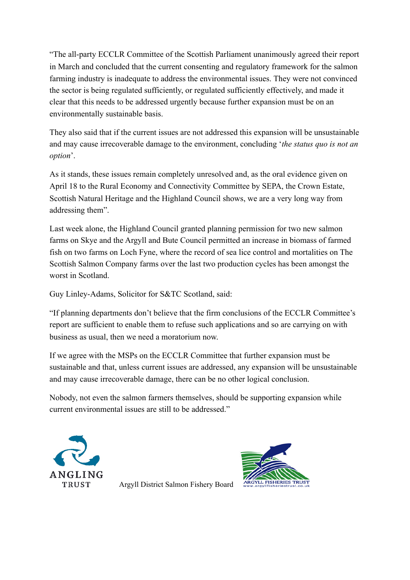"The all-party ECCLR Committee of the Scottish Parliament unanimously agreed their report in March and concluded that the current consenting and regulatory framework for the salmon farming industry is inadequate to address the environmental issues. They were not convinced the sector is being regulated sufficiently, or regulated sufficiently effectively, and made it clear that this needs to be addressed urgently because further expansion must be on an environmentally sustainable basis.

They also said that if the current issues are not addressed this expansion will be unsustainable and may cause irrecoverable damage to the environment, concluding '*the status quo is not an option*'.

As it stands, these issues remain completely unresolved and, as the oral evidence given on April 18 to the Rural Economy and Connectivity Committee by SEPA, the Crown Estate, Scottish Natural Heritage and the Highland Council shows, we are a very long way from addressing them".

Last week alone, the Highland Council granted planning permission for two new salmon farms on Skye and the Argyll and Bute Council permitted an increase in biomass of farmed fish on two farms on Loch Fyne, where the record of sea lice control and mortalities on The Scottish Salmon Company farms over the last two production cycles has been amongst the worst in Scotland.

Guy Linley-Adams, Solicitor for S&TC Scotland, said:

"If planning departments don't believe that the firm conclusions of the ECCLR Committee's report are sufficient to enable them to refuse such applications and so are carrying on with business as usual, then we need a moratorium now.

If we agree with the MSPs on the ECCLR Committee that further expansion must be sustainable and that, unless current issues are addressed, any expansion will be unsustainable and may cause irrecoverable damage, there can be no other logical conclusion.

Nobody, not even the salmon farmers themselves, should be supporting expansion while current environmental issues are still to be addressed."





Argyll District Salmon Fishery Board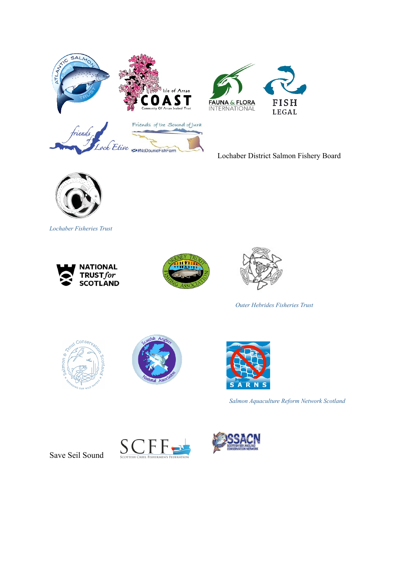



Lochaber District Salmon Fishery Board



*Lochaber Fisheries Trust* 







 *Outer Hebrides Fisheries Trust*







 *Salmon Aquaculture Reform Network Scotland*

Save Seil Sound



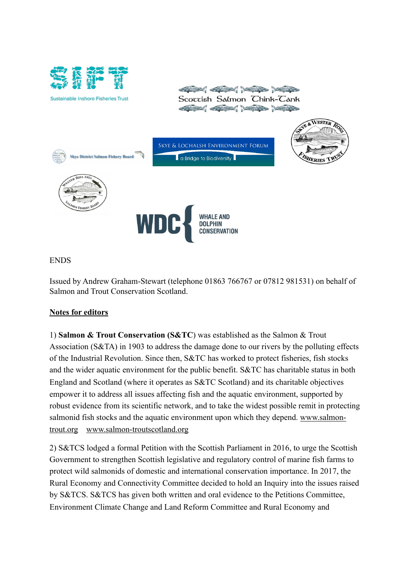

**Sustainable Inshore Fisheries Trust** 



ENDS

Issued by Andrew Graham-Stewart (telephone 01863 766767 or 07812 981531) on behalf of Salmon and Trout Conservation Scotland.

## **Notes for editors**

1) **Salmon & Trout Conservation (S&TC**) was established as the Salmon & Trout Association (S&TA) in 1903 to address the damage done to our rivers by the polluting effects of the Industrial Revolution. Since then, S&TC has worked to protect fisheries, fish stocks and the wider aquatic environment for the public benefit. S&TC has charitable status in both England and Scotland (where it operates as S&TC Scotland) and its charitable objectives empower it to address all issues affecting fish and the aquatic environment, supported by robust evidence from its scientific network, and to take the widest possible remit in protecting salmonid fish stocks and the aquatic environment upon which they depend. [www.salmon](http://www.salmon-trout.org/)[trout.org](http://www.salmon-trout.org/) [www.salmon-troutscotland.org](http://www.salmon-troutscotland.org/)

2) S&TCS lodged a formal Petition with the Scottish Parliament in 2016, to urge the Scottish Government to strengthen Scottish legislative and regulatory control of marine fish farms to protect wild salmonids of domestic and international conservation importance. In 2017, the Rural Economy and Connectivity Committee decided to hold an Inquiry into the issues raised by S&TCS. S&TCS has given both written and oral evidence to the Petitions Committee, Environment Climate Change and Land Reform Committee and Rural Economy and